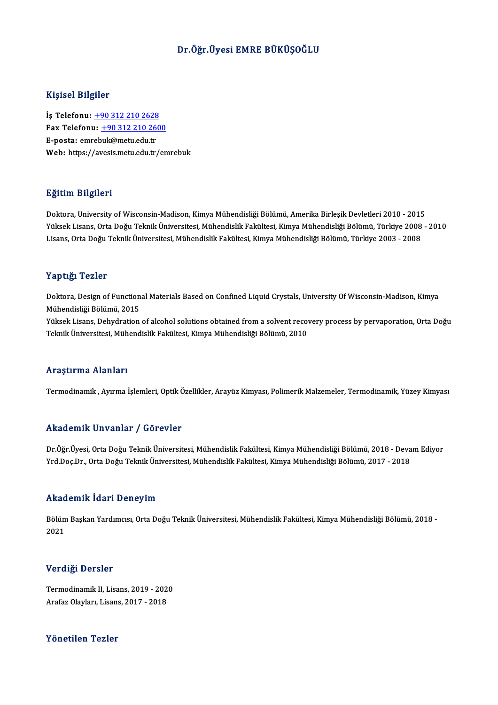### Dr.Öğr.Üyesi EMRE BÜKÜŞOĞLU

### Kişisel Bilgiler

Kişisel Bilgiler<br>İş Telefonu: <u>+90 312 210 2628</u><br>Fax Telefonu: +90 212 210 260 Fax Telefonu:  $\frac{+90\,312\,210\,2600}{+}$ E-posta: emrebuk@metu.edu.tr İş Telefonu: <u>+90 312 210 2628</u><br>Fax Telefonu: <u>+90 312 210 26</u><br>E-posta: emr[eb](tel:+90 312 210 2628)[uk@metu.edu.tr](tel:+90 312 210 2600)<br>Web: bttps://avesis.metu.edu.tr Web: https://avesis.metu.edu.tr/emrebuk

### Eğitim Bilgileri

**Eğitim Bilgileri**<br>Doktora, University of Wisconsin-Madison, Kimya Mühendisliği Bölümü, Amerika Birleşik Devletleri 2010 - 2015<br>Yüksek Lisans, Orta Değu Teknik Üniversitesi, Mühendislik Fekültesi, Kimya Mühendisliği Bölümü Yüksek Lisans, Orta Doğu Teknik Üniversitesi, Mühendislik Fakültesi, Kimya Mühendisliği Bölümü, Türkiye 2008 - 2010<br>Lisans, Orta Doğu Teknik Üniversitesi, Mühendislik Fakültesi, Kimya Mühendisliği Bölümü, Türkiye 2003 - 20 Doktora, University of Wisconsin-Madison, Kimya Mühendisliği Bölümü, Amerika Birleşik Devletleri 2010 - 2015<br>Yüksek Lisans, Orta Doğu Teknik Üniversitesi, Mühendislik Fakültesi, Kimya Mühendisliği Bölümü, Türkiye 2008<br>Lisa

### Yaptığı Tezler

Yaptığı Tezler<br>Doktora, Design of Functional Materials Based on Confined Liquid Crystals, University Of Wisconsin-Madison, Kimya<br>Mühandisliği Bölümü, 2015 Mühendisliği<br>Doktora, Design of Function<br>Mühendisliği Bölümü, 2015<br>Vülmek Lisana, Debudration Doktora, Design of Functional Materials Based on Confined Liquid Crystals, University Of Wisconsin-Madison, Kimya<br>Mühendisliği Bölümü, 2015<br>Yüksek Lisans, Dehydration of alcohol solutions obtained from a solvent recovery p

Mühendisliği Bölümü, 2015<br>Yüksek Lisans, Dehydration of alcohol solutions obtained from a solvent recovery process by pervaporation, Orta Doğu<br>Teknik Üniversitesi, Mühendislik Fakültesi, Kimya Mühendisliği Bölümü, 2010

### Araştırma Alanları

Termodinamik, Ayırma İşlemleri, Optik Özellikler, Arayüz Kimyası, Polimerik Malzemeler, Termodinamik, Yüzey Kimyası

### Akademik Unvanlar / Görevler

Akademik Unvanlar / Görevler<br>Dr.Öğr.Üyesi, Orta Doğu Teknik Üniversitesi, Mühendislik Fakültesi, Kimya Mühendisliği Bölümü, 2018 - Devam Ediyor<br>Yrd Dog Dr. Orta Doğu Teknik Üniversitesi, Mühendislik Fakültesi, Kimya Mühend YYRAA OMYA YATIMIZ 7 YOY OVICI<br>Dr.Öğr.Üyesi, Orta Doğu Teknik Üniversitesi, Mühendislik Fakültesi, Kimya Mühendisliği Bölümü, 2018 - Deva<br>Yrd.Doç.Dr., Orta Doğu Teknik Üniversitesi, Mühendislik Fakültesi, Kimya Mühendisliğ Yrd.Doç.Dr., Orta Doğu Teknik Üniversitesi, Mühendislik Fakültesi, Kimya Mühendisliği Bölümü, 2017 - 2018<br>Akademik İdari Deneyim

**Akademik İdari Deneyim**<br>Bölüm Başkan Yardımcısı, Orta Doğu Teknik Üniversitesi, Mühendislik Fakültesi, Kimya Mühendisliği Bölümü, 2018 -<br>2021 rmaa<br>Bölüm<br>2021 2021<br>Verdiği Dersler

Verdiği Dersler<br>Termodinamik II, Lisans, 2019 - 2020<br>Arafar Olayları, Lisans, 2017 - 2019 v or argr 2 or stor<br>Termodinamik II, Lisans, 2019 - 202<br>Arafaz Olayları, Lisans, 2017 - 2018 Arafaz Olayları, Lisans, 2017 - 2018<br>Yönetilen Tezler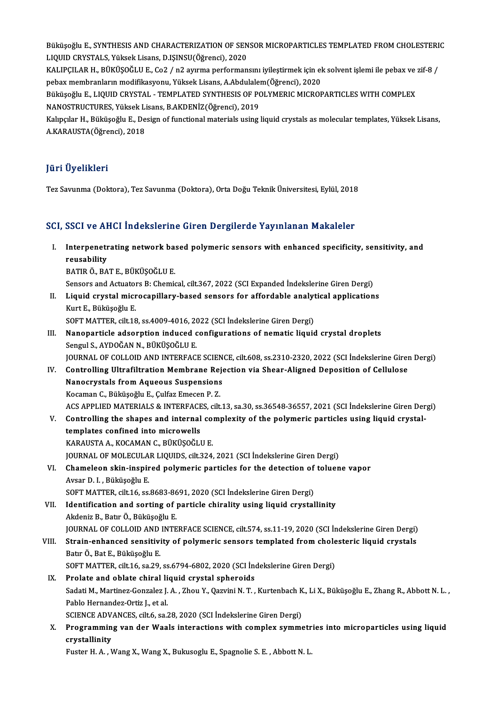Büküşoğlu E., SYNTHESIS AND CHARACTERIZATION OF SENSOR MICROPARTICLES TEMPLATED FROM CHOLESTERIC<br>LIQUID CRYSTALS, Yüksek Lisans, D ISINSU(Öğrensi), 2020 Büküşoğlu E., SYNTHESIS AND CHARACTERIZATION OF SEN<br>LIQUID CRYSTALS, Yüksek Lisans, D.IŞINSU(Öğrenci), 2020<br>KALIPCU AR H., BÜKÜSOĞLU E. Co2 / n2 ayınma porforman Büküşoğlu E., SYNTHESIS AND CHARACTERIZATION OF SENSOR MICROPARTICLES TEMPLATED FROM CHOLESTERI<br>LIQUID CRYSTALS, Yüksek Lisans, D.IŞINSU(Öğrenci), 2020<br>KALIPÇILAR H., BÜKÜŞOĞLU E., Co2 / n2 ayırma performansını iyileştirme

LIQUID CRYSTALS, Yüksek Lisans, D.IŞINSU(Öğrenci), 2020<br>KALIPÇILAR H., BÜKÜŞOĞLU E., Co2 / n2 ayırma performansını iyileştirmek için el<br>pebax membranların modifikasyonu, Yüksek Lisans, A.Abdulalem(Öğrenci), 2020<br>Büküseğlu KALIPÇILAR H., BÜKÜŞOĞLU E., Co2 / n2 ayırma performansını iyileştirmek için ek solvent işlemi ile pebax ve :<br>pebax membranların modifikasyonu, Yüksek Lisans, A.Abdulalem(Öğrenci), 2020<br>Büküşoğlu E., LIQUID CRYSTAL - TEMPL

pebax membranların modifikasyonu, Yüksek Lisans, A.Abdulalem(Öğrenci), 2020<br>Büküşoğlu E., LIQUID CRYSTAL - TEMPLATED SYNTHESIS OF POLYMERIC MICROPARTICLES WITH COMPLEX<br>NANOSTRUCTURES, Yüksek Lisans, B.AKDENİZ(Öğrenci), 201 Büküşoğlu E., LIQUID CRYSTAL - TEMPLATED SYNTHESIS OF POLYMERIC MICROPARTICLES WITH COMPLEX<br>NANOSTRUCTURES, Yüksek Lisans, B.AKDENİZ(Öğrenci), 2019<br>Kalıpçılar H., Büküşoğlu E., Design of functional materials using liquid c

NANOSTRUCTURES, Yüksek Li<br>Kalıpçılar H., Büküşoğlu E., De<br>A.KARAUSTA(Öğrenci), 2018 A.KARAUSTA(Öğrenci), 2018<br>Jüri Üyelikleri

Tez Savunma (Doktora),Tez Savunma (Doktora),OrtaDoğuTeknikÜniversitesi,Eylül,2018

### SCI, SSCI ve AHCI İndekslerine Giren Dergilerde Yayınlanan Makaleler

I. Interpenetrating network based polymeric sensors with enhanced specificity, sensitivity, and **Interpenetr<br>Interpenetr<br>reusability<br>PATIP Ö-PA** Interpenetrating network ba:<br>reusability<br>BATIR Ö., BAT E., BÜKÜŞOĞLU E.<br>Sensers and Astuaters B. Chemis reusability<br>BATIR Ö., BAT E., BÜKÜŞOĞLU E.<br>Sensors and Actuators B: Chemical, cilt.367, 2022 (SCI Expanded İndekslerine Giren Dergi)<br>Liauid, erustal misrosanillaru, based sensors for affordabla analytisal analisation

BATIR Ö., BAT E., BÜKÜŞOĞLU E.<br>Sensors and Actuators B: Chemical, cilt.367, 2022 (SCI Expanded İndekslerine Giren Dergi)<br>II. Liquid crystal microcapillary-based sensors for affordable analytical applications<br><sup>Kurt E.</sup> Sensors and Actuatol<br>Liquid crystal micr<br>Kurt E., Büküşoğlu E.<br>SOET MATTED .cilt 19 Liquid crystal microcapillary-based sensors for affordable analyt<br>Kurt E., Büküşoğlu E.<br>SOFT MATTER, cilt.18, ss.4009-4016, 2022 (SCI İndekslerine Giren Dergi)<br>Nanonartisla adearntian indused sanfigurations of namatis liqu

SOFT MATTER, cilt 18, ss 4009-4016, 2022 (SCI İndekslerine Giren Dergi)

- Kurt E., Büküşoğlu E.<br>SOFT MATTER, cilt.18, ss.4009-4016, 2022 (SCI İndekslerine Giren Dergi)<br>III. Nanoparticle adsorption induced configurations of nematic liquid crystal droplets<br>Sengul S., AYDOĞAN N., BÜKÜŞOĞLU E. JOURNAL OF COLLOID AND INTERFACE SCIENCE, cilt.608, ss.2310-2320, 2022 (SCI İndekslerine Giren Dergi)
- Sengul S., AYDOĞAN N., BÜKÜŞOĞLU E.<br>JOURNAL OF COLLOID AND INTERFACE SCIENCE, cilt.608, ss.2310-2320, 2022 (SCI İndekslerine Girer<br>IV. Controlling Ultrafiltration Membrane Rejection via Shear-Aligned Deposition of Cellulos JOURNAL OF COLLOID AND INTERFACE SCIEN<br>Controlling Ultrafiltration Membrane Reje<br>Nanocrystals from Aqueous Suspensions<br>Kosaman C. Bültüsağlu E. Cultar Emesan B. 7 Controlling Ultrafiltration Membrane Rej<br>Nanocrystals from Aqueous Suspensions<br>Kocaman C., Büküşoğlu E., Çulfaz Emecen P. Z.<br>ACS APPLIED MATERIALS & INTERFACES silt Nanocrystals from Aqueous Suspensions<br>Kocaman C., Büküşoğlu E., Çulfaz Emecen P. Z.<br>ACS APPLIED MATERIALS & INTERFACES, cilt.13, sa.30, ss.36548-36557, 2021 (SCI İndekslerine Giren Dergi)<br>Controlling the shanes and interna Kocaman C., Büküşoğlu E., Çulfaz Emecen P. Z.<br>ACS APPLIED MATERIALS & INTERFACES, cilt.13, sa.30, ss.36548-36557, 2021 (SCI İndekslerine Giren Der<br>V. Controlling the shapes and internal complexity of the polymeric particle
- ACS APPLIED MATERIALS & INTERFACE<br>Controlling the shapes and internal<br>templates confined into microwells<br>KARAUSTA A KOCAMAN G BÜVÜSOĞU V. Controlling the shapes and internal complexity of the polymeric particles using liquid crystal-<br>templates confined into microwells<br>KARAUSTA A., KOCAMAN C., BÜKÜŞOĞLU E. JOURNAL OF MOLECULAR LIQUIDS, cilt.324, 2021 (SCI İndekslerine Giren Dergi) KARAUSTA A., KOCAMAN C., BÜKÜŞOĞLU E.<br>JOURNAL OF MOLECULAR LIQUIDS, cilt.324, 2021 (SCI İndekslerine Giren Dergi)<br>VI. Chameleon skin-inspired polymeric particles for the detection of toluene vapor<br>Avear D. L. Büküseğlu E
- **JOURNAL OF MOLECULA<br>Chameleon skin-inspir<br>Avsar D. I. , Büküşoğlu E.<br>SOET MATTER, cik 16, SS** Chameleon skin-inspired polymeric particles for the detection of<br>Avsar D. I. , Büküşoğlu E.<br>SOFT MATTER, cilt.16, ss.8683-8691, 2020 (SCI İndekslerine Giren Dergi)<br>Identification and sorting of particle chirelity using liq

SOFT MATTER, cilt 16, ss.8683-8691, 2020 (SCI İndekslerine Giren Dergi)

Avsar D. I. , Büküşoğlu E.<br>SOFT MATTER, cilt.16, ss.8683-8691, 2020 (SCI İndekslerine Giren Dergi)<br>VII. Identification and sorting of particle chirality using liquid crystallinity<br>Akdeniz B., Batır Ö., Büküşoğlu E. Identification and sorting of particle chirality using liquid crystallinity<br>Akdeniz B., Batır Ö., Büküşoğlu E.<br>JOURNAL OF COLLOID AND INTERFACE SCIENCE, cilt.574, ss.11-19, 2020 (SCI İndekslerine Giren Dergi)<br>Strain enhane

# Akdeniz B., Batır Ö., Büküşoğlu E.<br>JOURNAL OF COLLOID AND INTERFACE SCIENCE, cilt.574, ss.11-19, 2020 (SCI İndekslerine Giren Dergi)<br>VIII. Strain-enhanced sensitivity of polymeric sensors templated from cholesteric liquid JOURNAL OF COLLOID AND<br><mark>Strain-enhanced sensitivi</mark><br>Batır Ö., Bat E., Büküşoğlu E.<br>SOFT MATTER. silt 16, se 29. VIII. Strain-enhanced sensitivity of polymeric sensors templated from cholesteric liquid crystals<br>Batır Ö., Bat E., Büküşoğlu E.<br>SOFT MATTER, cilt.16, sa.29, ss.6794-6802, 2020 (SCI İndekslerine Giren Dergi)

- IX. Prolate and oblate chiral liquid crystal spheroids SOFT MATTER, cilt.16, sa.29, ss.6794-6802, 2020 (SCI İndekslerine Giren Dergi)<br>Prolate and oblate chiral liquid crystal spheroids<br>Sadati M., Martinez-Gonzalez J. A. , Zhou Y., Qazvini N. T. , Kurtenbach K., Li X., Büküşoğl Prolate and oblate chiral li<br>Sadati M., Martinez-Gonzalez J.<br>Pablo Hernandez-Ortiz J., et al.<br>SCIENCE ADVANCES silt 6, 20.2 Sadati M., Martinez-Gonzalez J. A. , Zhou Y., Qazvini N. T. , Kurtenbach K<br>Pablo Hernandez-Ortiz J., et al.<br>SCIENCE ADVANCES, cilt.6, sa.28, 2020 (SCI İndekslerine Giren Dergi)<br>Programming van dar Waala interactione with c Pablo Hernandez-Ortiz J., et al.<br>SCIENCE ADVANCES, cilt.6, sa.28, 2020 (SCI Indekslerine Giren Dergi)<br>X. Programming van der Waals interactions with complex symmetries into microparticles using liquid
- SCIENCE ADV.<br>Programmin<br>crystallinity<br>Euster H. A. A Programming van der Waals interactions with complex symmetr<br>crystallinity<br>Fuster H. A. , Wang X., Wang X., Bukusoglu E., Spagnolie S. E. , Abbott N. L.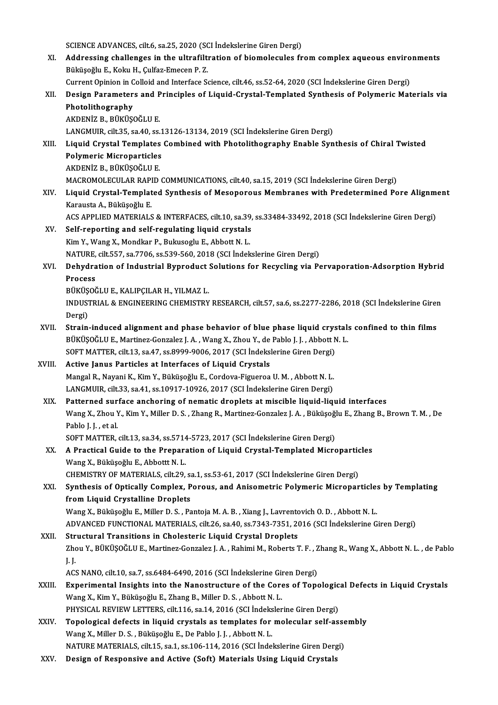SCIENCE ADVANCES, cilt.6, sa.25, 2020 (SCI İndekslerine Giren Dergi)

SCIENCE ADVANCES, cilt.6, sa.25, 2020 (SCI İndekslerine Giren Dergi)<br>XI. Addressing challenges in the ultrafiltration of biomolecules from complex aqueous environments SCIENCE ADVANCES, cilt.6, sa.25, 2020 (SC)<br>Addressing challenges in the ultrafilt:<br>Büküşoğlu E., Koku H., Çulfaz-Emecen P. Z.<br>Current Opinion in Colleid and Interface S. Addressing challenges in the ultrafiltration of biomolecules from complex aqueous enviro<br>Büküşoğlu E., Koku H., Çulfaz-Emecen P. Z.<br>Current Opinion in Colloid and Interface Science, cilt.46, ss.52-64, 2020 (SCI İndekslerin

Büküşoğlu E., Koku H., Çulfaz-Emecen P. Z.<br>Current Opinion in Colloid and Interface Science, cilt.46, ss.52-64, 2020 (SCI İndekslerine Giren Dergi)<br>XII. Design Parameters and Principles of Liquid-Crystal-Templated Synt Current Opinion in Colloid and Interface Science, cilt.46, ss.52-64, 2020 (SCI Indekslerine Giren Dergi)<br>Design Parameters and Principles of Liquid-Crystal-Templated Synthesis of Polymeric Mat<br>Photolithography<br>AKDENIZ B., Design Parameters and P<br>Photolithography<br>AKDENİZ B., BÜKÜŞOĞLU E.<br>LANCMUP si<sup>lt 25</sup>. sə 40. ss

LANGMUIR, cilt.35, sa.40, ss.13126-13134,2019 (SCI İndekslerineGirenDergi)

- AKDENİZ B., BÜKÜŞOĞLU E.<br>LANGMUIR, cilt.35, sa.40, ss.13126-13134, 2019 (SCI İndekslerine Giren Dergi)<br>XIII. Liquid Crystal Templates Combined with Photolithography Enable Synthesis of Chiral Twisted<br>Rolymeris Misroper LANGMUIR, cilt35, sa.40, ss.1<br>Liquid Crystal Templates<br>Polymeric Microparticles<br>AKDENİZ P. PÜKÜSQČLU E Polymeric Microparticles<br>AKDENİZ B., BÜKÜŞOĞLU E. MACROMOLECULAR RAPID COMMUNICATIONS, cilt.40, sa.15, 2019 (SCI İndekslerine Giren Dergi) AKDENİZ B., BÜKÜŞOĞLU E.<br>MACROMOLECULAR RAPID COMMUNICATIONS, cilt.40, sa.15, 2019 (SCI İndekslerine Giren Dergi)<br>XIV. Liquid Crystal-Templated Synthesis of Mesoporous Membranes with Predetermined Pore Alignment<br>Karays
- MACROMOLECULAR RAPI<br>Liquid Crystal-Templat<br>Karausta A., Büküşoğlu E.<br>ACS APPI JED MATERIALS Liquid Crystal-Templated Synthesis of Mesoporous Membranes with Predetermined Pore Alignm<br>Karausta A., Büküşoğlu E.<br>ACS APPLIED MATERIALS & INTERFACES, cilt.10, sa.39, ss.33484-33492, 2018 (SCI İndekslerine Giren Dergi)<br>Se

Karausta A., Büküşoğlu E.<br>ACS APPLIED MATERIALS & INTERFACES, cilt.10, sa.39,<br>XV. Self-reporting and self-regulating liquid crystals<br>Kim Y., Wang X., Mondkar P., Bukusoglu E., Abbott N. L. ACS APPLIED MATERIALS & INTERFACES, cilt.10, sa.39<br>Self-reporting and self-regulating liquid crystals<br>Kim Y., Wang X., Mondkar P., Bukusoglu E., Abbott N. L.<br>NATURE cilt E57, 20,7706, 20,520,560,2019 (SCL indel: NATURE, cilt.557, sa.7706, ss.539-560,2018 (SCI İndekslerineGirenDergi) Kim Y., Wang X., Mondkar P., Bukusoglu E., Abbott N. L.<br>NATURE, cilt.557, sa.7706, ss.539-560, 2018 (SCI Indekslerine Giren Dergi)<br>XVI. Dehydration of Industrial Byproduct Solutions for Recycling via Pervaporation-Adso

# NATURE,<br><mark>Dehydra</mark><br>Process<br>Püvüsoğ Dehydration of Industrial Byproduct<br>Process<br>BÜKÜŞOĞLU E., KALIPÇILAR H., YILMAZ L.<br>INDUSTRIAL & ENCINEERING GUEMISTRY

Process<br>BÜKÜŞOĞLU E., KALIPÇILAR H., YILMAZ L.<br>INDUSTRIAL & ENGINEERING CHEMISTRY RESEARCH, cilt.57, sa.6, ss.2277-2286, 2018 (SCI İndekslerine Giren BÜKÜŞ<br>INDUS<br>Dergi)<br>Strain

- INDUSTRIAL & ENGINEERING CHEMISTRY RESEARCH, cilt.57, sa.6, ss.2277-2286, 2018 (SCI Indekslerine Girer<br>Dergi)<br>XVII. Strain-induced alignment and phase behavior of blue phase liquid crystals confined to thin films<br>PUVUSOČU Dergi)<br>Strain-induced alignment and phase behavior of blue phase liquid crystal:<br>BÜKÜŞOĞLU E., Martinez-Gonzalez J. A. , Wang X., Zhou Y., de Pablo J. J. , Abbott N. L.<br>SOET MATTER, silt 13, sa 47, se 8999,9006, 2017 (SCL Strain-induced alignment and phase behavior of blue phase liquid crys<br>BÜKÜŞOĞLU E., Martinez-Gonzalez J. A. , Wang X., Zhou Y., de Pablo J. J. , Abbott N<br>SOFT MATTER, cilt.13, sa.47, ss.8999-9006, 2017 (SCI İndekslerine Gi SOFT MATTER, cilt 13, sa 47, ss 8999-9006, 2017 (SCI İndekslerine Giren Dergi)
- BÜKÜŞOĞLU E., Martinez-Gonzalez J. A. , Wang X., Zhou Y., de Pablo J. J. , Abbott N. L.<br>SOFT MATTER, cilt.13, sa.47, ss.8999-9006, 2017 (SCI İndekslerine Giren Dergi)<br>XVIII. Active Janus Particles at Interfaces of Liqu LANGMUIR, cilt.33, sa.41, ss.10917-10926, 2017 (SCI İndekslerine Giren Dergi) Mangal R., Nayani K., Kim Y., Büküşoğlu E., Cordova-Figueroa U. M. , Abbott N. L.<br>LANGMUIR, cilt.33, sa.41, ss.10917-10926, 2017 (SCI İndekslerine Giren Dergi)<br>XIX. Patterned surface anchoring of nematic droplets at miscib
	- Wang X., Zhou Y., Kim Y., Miller D. S. , Zhang R., Martinez-Gonzalez J. A. , Büküşoğlu E., Zhang B., Brown T. M. , De<br>Pablo J. J. , et al. Patterned sur<br>Wang X., Zhou Y<br>Pablo J. J. , et al.<br>SOET MATTED

SOFT MATTER, cilt.13, sa.34, ss.5714-5723, 2017 (SCI İndekslerine Giren Dergi)

## Pablo J. J. , et al.<br>SOFT MATTER, cilt.13, sa.34, ss.5714-5723, 2017 (SCI Indekslerine Giren Dergi)<br>XX. A Practical Guide to the Preparation of Liquid Crystal-Templated Microparticles SOFT MATTER, cilt.13, sa.34, ss.5714<br>A Practical Guide to the Prepara<br>Wang X., Büküşoğlu E., Abbottt N. L.<br>CHEMISTRY OF MATERIALS, silt.20 A Practical Guide to the Preparation of Liquid Crystal-Templated Micropartic<br>Wang X., Büküşoğlu E., Abbottt N. L.<br>CHEMISTRY OF MATERIALS, cilt.29, sa.1, ss.53-61, 2017 (SCI İndekslerine Giren Dergi)<br>Synthesis of Ortically Wang X., Büküşoğlu E., Abbottt N. L.<br>CHEMISTRY OF MATERIALS, cilt.29, sa.1, ss.53-61, 2017 (SCI İndekslerine Giren Dergi)<br>XXI. Synthesis of Optically Complex, Porous, and Anisometric Polymeric Microparticles by Templat

from Liquid Crystalline Droplets Synthesis of Optically Complex, Porous, and Anisometric Polymeric Microparticle:<br>from Liquid Crystalline Droplets<br>Wang X., Büküşoğlu E., Miller D.S. , Pantoja M.A.B. , Xiang J., Lavrentovich O.D. , Abbott N. L.<br>ADVANCED EU from Liquid Crystalline Droplets<br>Wang X., Büküşoğlu E., Miller D. S. , Pantoja M. A. B. , Xiang J., Lavrentovich O. D. , Abbott N. L.<br>ADVANCED FUNCTIONAL MATERIALS, cilt.26, sa.40, ss.7343-7351, 2016 (SCI İndekslerine Gire

Wang X., Büküşoğlu E., Miller D. S. , Pantoja M. A. B. , Xiang J., Lavrento<br>ADVANCED FUNCTIONAL MATERIALS, cilt.26, sa.40, ss.7343-7351, 20<br>XXII. Structural Transitions in Cholesteric Liquid Crystal Droplets<br>Zhou V. BÜKÜSO ADVANCED FUNCTIONAL MATERIALS, cilt.26, sa.40, ss.7343-7351, 2016 (SCI İndekslerine Giren Dergi)<br>Structural Transitions in Cholesteric Liquid Crystal Droplets<br>Zhou Y., BÜKÜŞOĞLU E., Martinez-Gonzalez J. A. , Rahimi M., Rob Structural Transitions in Cholesteric Liquid Crystal Droplets<br>Zhou Y., BÜKÜŞOĞLU E., Martinez-Gonzalez J. A. , Rahimi M., Roberts 7<br>J. J. Zhou Y., BÜKÜŞOĞLU E., Martinez-Gonzalez J. A. , Rahimi M., Roberts T. F. , Z<br>J. J.<br>ACS NANO, cilt.10, sa.7, ss.6484-6490, 2016 (SCI İndekslerine Giren Dergi)<br>Evnonimental Insiskts inte the Nanastrusture of the Gones of Te

ACS NANO, cilt.10, sa.7, ss.6484-6490, 2016 (SCI Indekslerine Giren Dergi)

- XXIII. Experimental Insights into the Nanostructure of the Cores of Topological Defects in Liquid Crystals<br>Wang X., Kim Y., Büküşoğlu E., Zhang B., Miller D. S., Abbott N. L. Experimental Insights into the Nanostructure of the Cores of Topologic<br>Wang X., Kim Y., Büküşoğlu E., Zhang B., Miller D. S. , Abbott N. L.<br>PHYSICAL REVIEW LETTERS, cilt.116, sa.14, 2016 (SCI İndekslerine Giren Dergi)<br>Tana Wang X., Kim Y., Büküşoğlu E., Zhang B., Miller D. S. , Abbott N. L.<br>PHYSICAL REVIEW LETTERS, cilt.116, sa.14, 2016 (SCI İndekslerine Giren Dergi)<br>XXIV. Topological defects in liquid crystals as templates for molecular sel
- PHYSICAL REVIEW LETTERS, cilt.116, sa.14, 2016 (SCI İndeks<br>**Topological defects in liquid crystals as templates for**<br>Wang X., Miller D. S. , Büküşoğlu E., De Pablo J. J. , Abbott N. L.<br>NATURE MATERIALS, silt 15, sa.1, sa.1 Topological defects in liquid crystals as templates for molecular self-asse<br>Wang X., Miller D. S. , Büküşoğlu E., De Pablo J. J. , Abbott N. L.<br>NATURE MATERIALS, cilt.15, sa.1, ss.106-114, 2016 (SCI İndekslerine Giren Derg Wang X., Miller D. S. , Büküşoğlu E., De Pablo J. J. , Abbott N. L.<br>NATURE MATERIALS, cilt.15, sa.1, ss.106-114, 2016 (SCI İndekslerine Giren Dergi)<br>XXV. Design of Responsive and Active (Soft) Materials Using Liquid Crysta
- 
-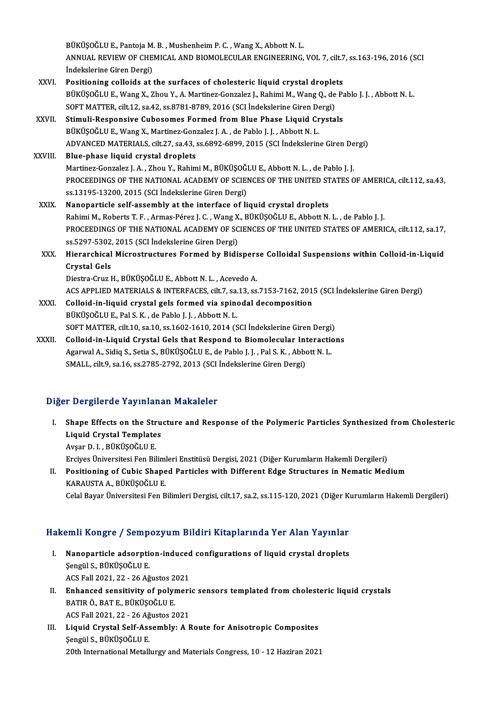BÜKÜŞOĞLU E., Pantoja M. B. , Mushenheim P. C. , Wang X., Abbott N. L.<br>ANNUAL REVIEW OF CHEMICAL AND BIOMOLECULAR ENCINEERING ANNUAL REVIEW OF CHEMICAL AND BIOMOLECULAR ENGINEERING, VOL 7, cilt.7, ss.163-196, 2016 (SCI Indekslerine Giren Dergi) BÜKÜŞOĞLU E., Pantoja M.<br>ANNUAL REVIEW OF CHE.<br>İndekslerine Giren Dergi)<br>Positioning sollaide at i ANNUAL REVIEW OF CHEMICAL AND BIOMOLECULAR ENGINEERING, VOL 7, cilt.7<br>
Indekslerine Giren Dergi)<br>
XXVI. Positioning colloids at the surfaces of cholesteric liquid crystal droplets<br>
PULLISOCLUE Wang Y, 2bou Y, A Martings Co

BÜKÜŞOĞLU E., Wang X., Zhou Y., A. Martinez-Gonzalez J., Rahimi M., Wang Q., de Pablo J. J. , Abbott N. L.<br>SOFT MATTER, cilt.12, sa.42, ss.8781-8789, 2016 (SCI İndekslerine Giren Dergi) Positioning colloids at the surfaces of cholesteric liquid crystal drople<br>BÜKÜŞOĞLU E., Wang X., Zhou Y., A. Martinez-Gonzalez J., Rahimi M., Wang Q., de<br>SOFT MATTER, cilt.12, sa.42, ss.8781-8789, 2016 (SCI İndekslerine Gi BÜKÜŞOĞLU E., Wang X., Zhou Y., A. Martinez-Gonzalez J., Rahimi M., Wang Q., de Pa<br>SOFT MATTER, cilt.12, sa.42, ss.8781-8789, 2016 (SCI İndekslerine Giren Dergi)<br>XXVII. Stimuli-Responsive Cubosomes Formed from Blue Phase L

# SOFT MATTER, cilt.12, sa.42, ss.8781-8789, 2016 (SCI Indekslerine Giren De<br>Stimuli-Responsive Cubosomes Formed from Blue Phase Liquid Cr<br>BÜKÜŞOĞLU E., Wang X., Martinez-Gonzalez J. A. , de Pablo J. J. , Abbott N. L.<br>ADVANC Stimuli-Responsive Cubosomes Formed from Blue Phase Liquid Crystals<br>BÜKÜŞOĞLU E., Wang X., Martinez-Gonzalez J. A. , de Pablo J. J. , Abbott N. L.<br>ADVANCED MATERIALS, cilt.27, sa.43, ss.6892-6899, 2015 (SCI İndekslerine Gi BÜKÜŞOĞLU E., Wang X., Martinez-Gonzalez J. A. , de Pablo J. J. , Abbott N. L.<br>ADVANCED MATERIALS, cilt.27, sa.43, ss.6892-6899, 2015 (SCI İndekslerin<br>XXVIII. Blue-phase liquid crystal droplets

# ADVANCED MATERIALS, cilt.27, sa.43, ss.6892-6899, 2015 (SCI İndekslerine Giren De<br>Blue-phase liquid crystal droplets<br>Martinez-Gonzalez J. A. , Zhou Y., Rahimi M., BÜKÜŞOĞLU E., Abbott N. L. , de Pablo J. J.<br>PROCEEDINCS OF PROCEEDINGS OF THE NATIONAL ACADEMY OF SCIENCES OF THE UNITED STATES OF AMERICA, cilt.112, sa.43,<br>ss.13195-13200, 2015 (SCI İndekslerine Giren Dergi) Martinez-Gonzalez J. A., Zhou Y., Rahimi M., BÜKÜŞOĞLU E., Abbott N. L., de Pablo J. J.

- XXIX. Nanoparticle self-assembly at the interface of liquid crystal droplets ss.13195-13200, 2015 (SCI İndekslerine Giren Dergi)<br><mark>Nanoparticle self-assembly at the interface of liquid crystal droplets</mark><br>Rahimi M., Roberts T. F. , Armas-Pérez J. C. , Wang X., BÜKÜŞOĞLU E., Abbott N. L. , de Pablo J. PROCEEDINGS OF THE NATIONAL ACADEMY OF SCIENCES OF THE UNITED STATES OF AMERICA, cilt.112, sa.17, Rahimi M., Roberts T. F. , Armas-Pérez J. C. , Wang X<br>PROCEEDINGS OF THE NATIONAL ACADEMY OF SC<br>ss.5297-5302, 2015 (SCI İndekslerine Giren Dergi)<br>Hianansbisel Mistostrustures Formed by Bidi ss 5297-5302, 2015 (SCI İndekslerine Giren Dergi)
- XXX. Hierarchical Microstructures Formed by Bidisperse Colloidal Suspensions within Colloid-in-Liquid<br>Crystal Gels

Diestra-Cruz H., BÜKÜŞOĞLU E., Abbott N. L., Acevedo A.

ACS APPLIED MATERIALS & INTERFACES, cilt.7, sa.13, ss.7153-7162, 2015 (SCI İndekslerine Giren Dergi)

- XXXI. Colloid-in-liquid crystal gels formed via spinodal decomposition BÜKÜŞOĞLU E., Pal S. K., de Pablo J. J., Abbott N. L. Colloid-in-liquid crystal gels formed via spinodal decomposition<br>BÜKÜŞOĞLU E., Pal S. K. , de Pablo J. J. , Abbott N. L.<br>SOFT MATTER, cilt.10, sa.10, ss.1602-1610, 2014 (SCI İndekslerine Giren Dergi)<br>Colloid in Liauid Crys BÜKÜŞOĞLU E., Pal S. K. , de Pablo J. J. , Abbott N. L.<br>SOFT MATTER, cilt.10, sa.10, ss.1602-1610, 2014 (SCI İndekslerine Giren Dergi)<br>XXXII. Colloid-in-Liquid Crystal Gels that Respond to Biomolecular Interactions<br>Agaruul
- SOFT MATTER, cilt.10, sa.10, ss.1602-1610, 2014 (SCI İndekslerine Giren Dergi)<br>Colloid-in-Liquid Crystal Gels that Respond to Biomolecular Interaction<br>Agarwal A., Sidiq S., Setia S., BÜKÜŞOĞLU E., de Pablo J. J. , Pal S. K Colloid-in-Liquid Crystal Gels that Respond to Biomolecular Interactions<br>Agarwal A., Sidiq S., Setia S., BÜKÜŞOĞLU E., de Pablo J. J. , Pal S. K. , Abbott N. L.<br>SMALL, cilt.9, sa.16, ss.2785-2792, 2013 (SCI İndekslerine Gi

### Diğer Dergilerde Yayınlanan Makaleler

Iger Dergilerde Yayınlanan Makaleler<br>I. Shape Effects on the Structure and Response of the Polymeric Particles Synthesized from Cholesteric<br>Liavid Cavatal Tamplates Substate Tay Intended<br>Shape Effects on the Stru<br>Liquid Crystal Templates<br>Avear D L. PÜRÜSQÖLUE Liquid Crystal Templates<br>Avşar D. I., BÜKÜŞOĞLU E. Liquid Crystal Templates<br>Avşar D. I. , BÜKÜŞOĞLU E.<br>Erciyes Üniversitesi Fen Bilimleri Enstitüsü Dergisi, 2021 (Diğer Kurumların Hakemli Dergileri)<br>Positioning of Cubis Shanad Partisles with Different Edge Structures in Ne

II. Positioning of Cubic Shaped Particles with Different Edge Structures in Nematic Medium<br>KARAUSTA A., BÜKÜŞOĞLU E. Erciyes Üniversitesi Fen Bilim<br>Positioning of Cubic Shape<br>KARAUSTA A., BÜKÜŞOĞLU E.<br>Celal Bayar Üniversitesi Fen B

Celal Bayar Üniversitesi Fen Bilimleri Dergisi, cilt.17, sa.2, ss.115-120, 2021 (Diğer Kurumların Hakemli Dergileri)

# telal Bayar Universitesi Fen Billmeri Dergisi, clit.17, sa.2, ss.115-120, 2021 (Diger Ki<br>Hakemli Kongre / Sempozyum Bildiri Kitaplarında Yer Alan Yayınlar

- akemli Kongre / Sempozyum Bildiri Kitaplarında Yer Alan Yayınlar<br>I. Nanoparticle adsorption-induced configurations of liquid crystal droplets<br>Sengüls Pürüsoğlu F SIAH HOHSI 0 7 SOMP<br>Nanoparticle adsorpti<br>Şengül S., BÜKÜŞOĞLU E. Nanoparticle adsorption-induced<br>Şengül S., BÜKÜŞOĞLU E.<br>ACS Fall 2021, 22 - 26 Ağustos 2021<br>Enhansed consitivity of nolumeni Sengül S., BÜKÜŞOĞLU E.<br>ACS Fall 2021, 22 - 26 Ağustos 2021<br>II. Enhanced sensitivity of polymeric sensors templated from cholesteric liquid crystals<br>RATIR Ö, RATIR RIÜKÜSOĞLU E
- ACS Fall 2021, 22 26 Ağustos 2<br>Enhanced sensitivity of polyr<br>BATIR Ö., BAT E., BÜKÜŞOĞLU E.<br>ACS Fall 2021, 22 26 Ağustos 2 Enhanced sensitivity of polymeri<br>BATIR Ö., BAT E., BÜKÜŞOĞLU E.<br>ACS Fall 2021, 22 - 26 Ağustos 2021<br>Liavid Gayetal Salf Assamblyy A.B BATIR Ö., BAT E., BÜKÜŞOĞLU E.<br>ACS Fall 2021, 22 - 26 Ağustos 2021<br>III. Liquid Crystal Self-Assembly: A Route for Anisotropic Composites
- ŞengülS.,BÜKÜŞOĞLUE. 20th International Metallurgy and Materials Congress, 10 - 12 Haziran 2021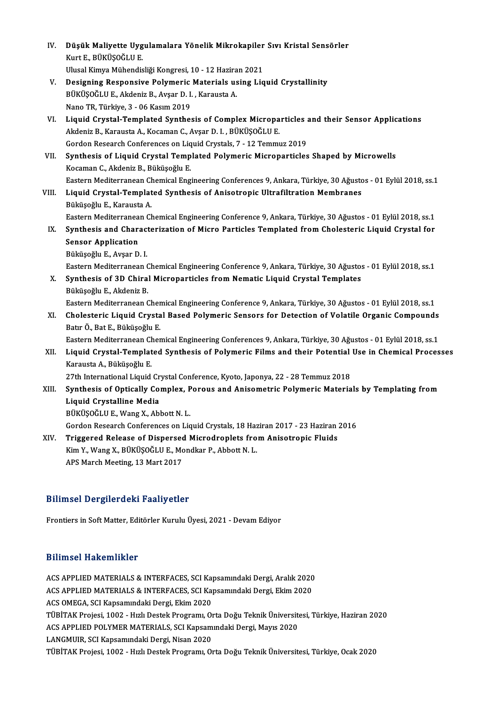| IV.   | Düşük Maliyette Uygulamalara Yönelik Mikrokapiler Sıvı Kristal Sensörler<br>Kurt E., BÜKÜŞOĞLU E.           |
|-------|-------------------------------------------------------------------------------------------------------------|
|       | Ulusal Kimya Mühendisliği Kongresi, 10 - 12 Haziran 2021                                                    |
| V.    | Designing Responsive Polymeric Materials using Liquid Crystallinity                                         |
|       | BÜKÜŞOĞLU E., Akdeniz B., Avşar D. I., Karausta A.                                                          |
|       | Nano TR, Türkiye, 3 - 06 Kasım 2019                                                                         |
| VI.   | Liquid Crystal-Templated Synthesis of Complex Microparticles and their Sensor Applications                  |
|       | Akdeniz B., Karausta A., Kocaman C., Avşar D. I., BÜKÜŞOĞLU E.                                              |
|       | Gordon Research Conferences on Liquid Crystals, 7 - 12 Temmuz 2019                                          |
| VII.  | Synthesis of Liquid Crystal Templated Polymeric Microparticles Shaped by Microwells                         |
|       | Kocaman C., Akdeniz B., Büküşoğlu E.                                                                        |
|       | Eastern Mediterranean Chemical Engineering Conferences 9, Ankara, Türkiye, 30 Ağustos - 01 Eylül 2018, ss.1 |
| VIII. | Liquid Crystal-Templated Synthesis of Anisotropic Ultrafiltration Membranes                                 |
|       | Büküşoğlu E., Karausta A.                                                                                   |
|       | Eastern Mediterranean Chemical Engineering Conference 9, Ankara, Türkiye, 30 Ağustos - 01 Eylül 2018, ss.1  |
| IX.   | Synthesis and Characterization of Micro Particles Templated from Cholesteric Liquid Crystal for             |
|       | <b>Sensor Application</b>                                                                                   |
|       | Büküşoğlu E., Avşar D. I.                                                                                   |
|       | Eastern Mediterranean Chemical Engineering Conference 9, Ankara, Türkiye, 30 Ağustos - 01 Eylül 2018, ss.1  |
| Χ.    | Synthesis of 3D Chiral Microparticles from Nematic Liquid Crystal Templates                                 |
|       | Büküşoğlu E., Akdeniz B.                                                                                    |
|       | Eastern Mediterranean Chemical Engineering Conference 9, Ankara, Türkiye, 30 Ağustos - 01 Eylül 2018, ss.1  |
| XI.   | Cholesteric Liquid Crystal Based Polymeric Sensors for Detection of Volatile Organic Compounds              |
|       | Batır Ö., Bat E., Büküşoğlu E.                                                                              |
|       | Eastern Mediterranean Chemical Engineering Conferences 9, Ankara, Türkiye, 30 Ağustos - 01 Eylül 2018, ss.1 |
| XII.  | Liquid Crystal-Templated Synthesis of Polymeric Films and their Potential Use in Chemical Processes         |
|       | Karausta A., Büküşoğlu E.                                                                                   |
|       | 27th International Liquid Crystal Conference, Kyoto, Japonya, 22 - 28 Temmuz 2018                           |
| XIII. | Synthesis of Optically Complex, Porous and Anisometric Polymeric Materials by Templating from               |
|       | Liquid Crystalline Media                                                                                    |
|       | BÜKÜŞOĞLU E, Wang X, Abbott N. L.                                                                           |
|       | Gordon Research Conferences on Liquid Crystals, 18 Haziran 2017 - 23 Haziran 2016                           |
| XIV.  | Triggered Release of Dispersed Microdroplets from Anisotropic Fluids                                        |
|       | Kim Y., Wang X., BÜKÜŞOĞLU E., Mondkar P., Abbott N. L.                                                     |
|       | APS March Meeting, 13 Mart 2017                                                                             |
|       |                                                                                                             |

### Bilimsel Dergilerdeki Faaliyetler

Frontiers in Soft Matter, Editörler Kurulu Üyesi, 2021 - Devam Ediyor

### Bilimsel Hakemlikler

Bilimsel Hakemlikler<br>ACS APPLIED MATERIALS & INTERFACES, SCI Kapsamındaki Dergi, Aralık 2020<br>ACS APPLIED MATERIALS & INTERFACES SCI Kapsamındaki Dergi, Ekim 2020 BAANDOF AMACAMANOT<br>ACS APPLIED MATERIALS & INTERFACES, SCI Kapsamındaki Dergi, Aralık 2020<br>ACS APPLIED MATERIALS & INTERFACES, SCI Kapsamındaki Dergi, Ekim 2020<br>ACS OMECA, SCI Kapsamındaki Dergi, Ekim 2020 ACS APPLIED MATERIALS & INTERFACES, SCI Ka<sub>l</sub><br>ACS APPLIED MATERIALS & INTERFACES, SCI Ka<sub>l</sub><br>ACS OMEGA, SCI Kapsamındaki Dergi, Ekim 2020<br>T<sup>üpitak</sup> Prejesi, 1002 - Hrll Destek Prestamu O ACS APPLIED MATERIALS & INTERFACES, SCI Kapsamındaki Dergi, Ekim 2020<br>ACS OMEGA, SCI Kapsamındaki Dergi, Ekim 2020<br>TÜBİTAK Projesi, 1002 - Hızlı Destek Programı, Orta Doğu Teknik Üniversitesi, Türkiye, Haziran 2020<br>ACS APP ACS OMEGA, SCI Kapsamındaki Dergi, Ekim 2020<br>TÜBİTAK Projesi, 1002 - Hızlı Destek Programı, Orta Doğu Teknik Üniversite<br>ACS APPLIED POLYMER MATERIALS, SCI Kapsamındaki Dergi, Mayıs 2020<br>LANGMUR, SCI Kapsamındaki Dergi Nisa ACS APPLIED POLYMER MATERIALS, SCI Kapsamındaki Dergi, Mayıs 2020<br>LANGMUIR, SCI Kapsamındaki Dergi, Nisan 2020 TÜBİTAK Projesi, 1002 - Hızlı Destek Programı, Orta Doğu Teknik Üniversitesi, Türkiye, Ocak 2020